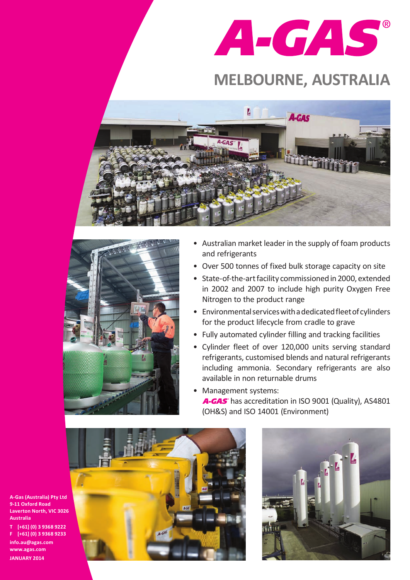

## **MELBOURNE, AUSTRALIA**





- Australian market leader in the supply of foam products and refrigerants
- Over 500 tonnes of fixed bulk storage capacity on site
- State-of-the-art facility commissioned in 2000, extended in 2002 and 2007 to include high purity Oxygen Free Nitrogen to the product range
- Environmental services with a dedicated fleet of cylinders for the product lifecycle from cradle to grave
- Fully automated cylinder filling and tracking facilities
- • Cylinder fleet of over 120,000 units serving standard refrigerants, customised blends and natural refrigerants including ammonia. Secondary refrigerants are also available in non returnable drums
- Management systems: A-GAS has accreditation in ISO 9001 (Quality), AS4801 (OH&S) and ISO 14001 (Environment)





**A-Gas (Australia) Pty Ltd 9-11 Oxford Road Laverton North, VIC 3026 Australia T [+61] (0) 3 9368 9222 F [+61] (0) 3 9368 9233**

**info.au@agas.com www.agas.com JANUARY 2014**